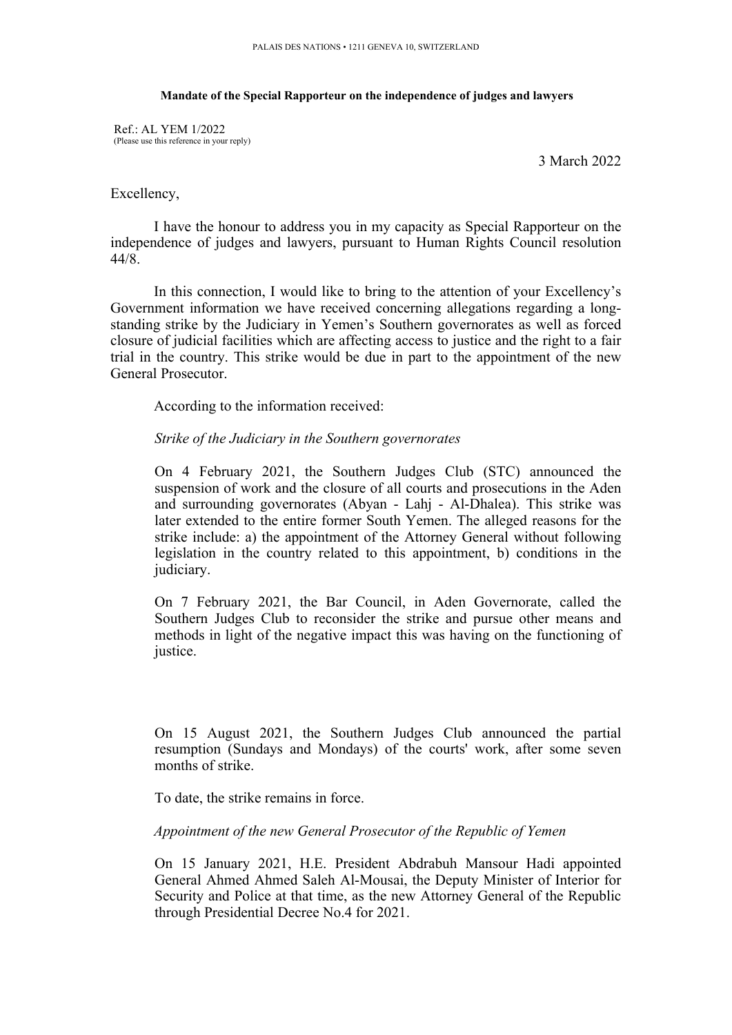#### **Mandate of the Special Rapporteur on the independence of judges and lawyers**

Ref.: AL YEM 1/2022 (Please use this reference in your reply)

3 March 2022

#### Excellency,

I have the honour to address you in my capacity as Special Rapporteur on the independence of judges and lawyers, pursuan<sup>t</sup> to Human Rights Council resolution 44/8.

In this connection, I would like to bring to the attention of your Excellency'<sup>s</sup> Government information we have received concerning allegations regarding <sup>a</sup> longstanding strike by the Judiciary in Yemen'<sup>s</sup> Southern governorates as well as forced closure of judicial facilities which are affecting access to justice and the right to <sup>a</sup> fair trial in the country. This strike would be due in par<sup>t</sup> to the appointment of the new General Prosecutor.

According to the information received:

# *Strike of the Judiciary in the Southern governorates*

On 4 February 2021, the Southern Judges Club (STC) announced the suspension of work and the closure of all courts and prosecutions in the Aden and surrounding governorates (Abyan - Lahj - Al-Dhalea). This strike was later extended to the entire former South Yemen. The alleged reasons for the strike include: a) the appointment of the Attorney General without following legislation in the country related to this appointment, b) conditions in the judiciary.

On 7 February 2021, the Bar Council, in Aden Governorate, called the Southern Judges Club to reconsider the strike and pursue other means and methods in light of the negative impact this was having on the functioning of justice.

On 15 August 2021, the Southern Judges Club announced the partial resumption (Sundays and Mondays) of the courts' work, after some seven months of strike.

To date, the strike remains in force.

# *Appointment of the new General Prosecutor of the Republic of Yemen*

On 15 January 2021, H.E. President Abdrabuh Mansour Hadi appointed General Ahmed Ahmed Saleh Al-Mousai, the Deputy Minister of Interior for Security and Police at that time, as the new Attorney General of the Republic through Presidential Decree No.4 for 2021.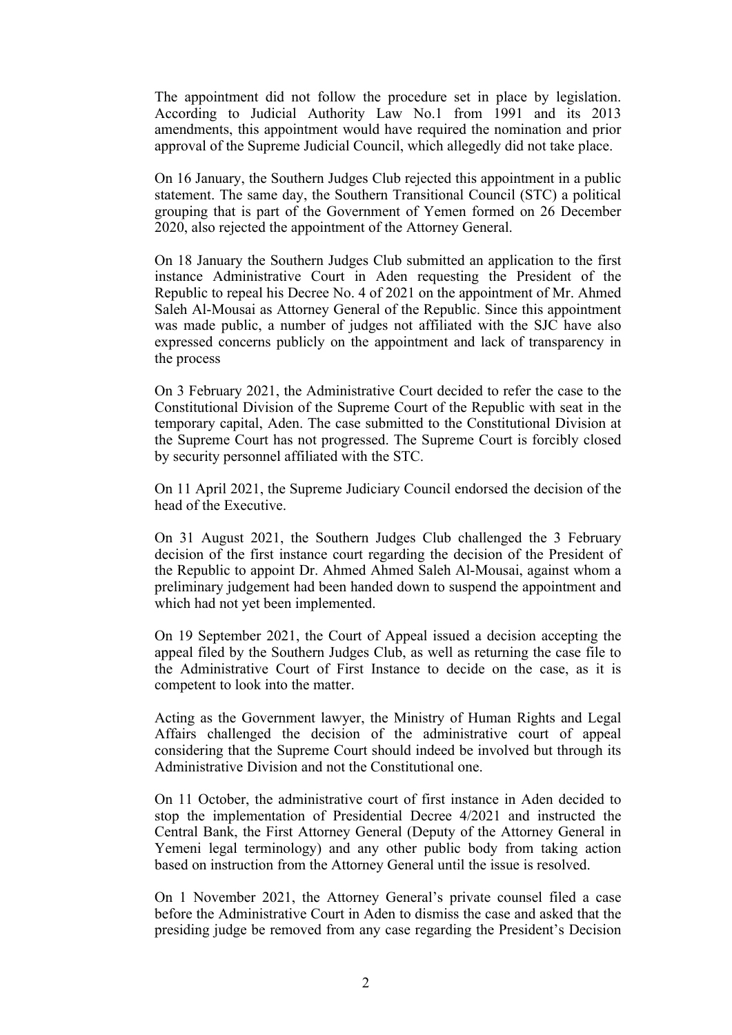The appointment did not follow the procedure set in place by legislation. According to Judicial Authority Law No.1 from 1991 and its 2013 amendments, this appointment would have required the nomination and prior approval of the Supreme Judicial Council, which allegedly did not take place.

On 16 January, the Southern Judges Club rejected this appointment in <sup>a</sup> public statement. The same day, the Southern Transitional Council (STC) <sup>a</sup> political grouping that is par<sup>t</sup> of the Government of Yemen formed on 26 December 2020, also rejected the appointment of the Attorney General.

On 18 January the Southern Judges Club submitted an application to the first instance Administrative Court in Aden requesting the President of the Republic to repeal his Decree No. 4 of 2021 on the appointment of Mr. Ahmed Saleh Al-Mousai as Attorney General of the Republic. Since this appointment was made public, <sup>a</sup> number of judges not affiliated with the SJC have also expressed concerns publicly on the appointment and lack of transparency in the process

On 3 February 2021, the Administrative Court decided to refer the case to the Constitutional Division of the Supreme Court of the Republic with seat in the temporary capital, Aden. The case submitted to the Constitutional Division at the Supreme Court has not progressed. The Supreme Court is forcibly closed by security personnel affiliated with the STC.

On 11 April 2021, the Supreme Judiciary Council endorsed the decision of the head of the Executive.

On 31 August 2021, the Southern Judges Club challenged the 3 February decision of the first instance court regarding the decision of the President of the Republic to appoint Dr. Ahmed Ahmed Saleh Al-Mousai, against whom <sup>a</sup> preliminary judgement had been handed down to suspend the appointment and which had not ye<sup>t</sup> been implemented.

On 19 September 2021, the Court of Appeal issued <sup>a</sup> decision accepting the appeal filed by the Southern Judges Club, as well as returning the case file to the Administrative Court of First Instance to decide on the case, as it is competent to look into the matter.

Acting as the Government lawyer, the Ministry of Human Rights and Legal Affairs challenged the decision of the administrative court of appeal considering that the Supreme Court should indeed be involved but through its Administrative Division and not the Constitutional one.

On 11 October, the administrative court of first instance in Aden decided to stop the implementation of Presidential Decree 4/2021 and instructed the Central Bank, the First Attorney General (Deputy of the Attorney General in Yemeni legal terminology) and any other public body from taking action based on instruction from the Attorney General until the issue is resolved.

On 1 November 2021, the Attorney General'<sup>s</sup> private counsel filed <sup>a</sup> case before the Administrative Court in Aden to dismiss the case and asked that the presiding judge be removed from any case regarding the President'<sup>s</sup> Decision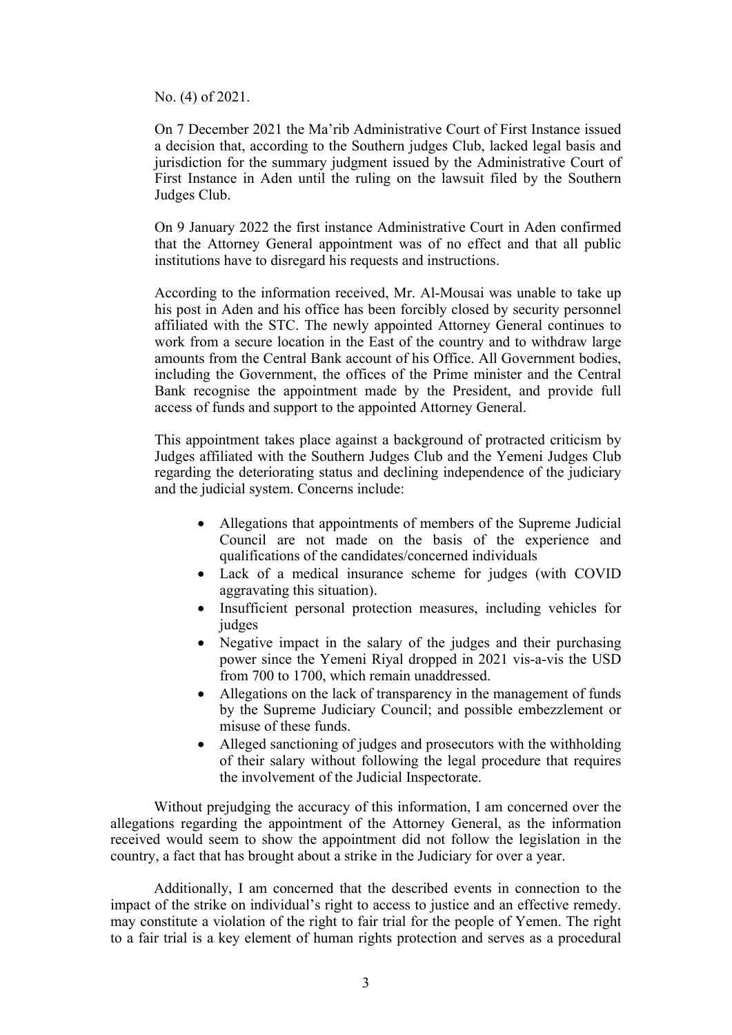No. (4) of 2021.

On 7 December 2021 the Ma'rib Administrative Court of First Instance issued <sup>a</sup> decision that, according to the Southern judges Club, lacked legal basis and jurisdiction for the summary judgment issued by the Administrative Court of First Instance in Aden until the ruling on the lawsuit filed by the Southern Judges Club.

On 9 January 2022 the first instance Administrative Court in Aden confirmed that the Attorney General appointment was of no effect and that all public institutions have to disregard his requests and instructions.

According to the information received, Mr. Al-Mousai was unable to take up his pos<sup>t</sup> in Aden and his office has been forcibly closed by security personnel affiliated with the STC. The newly appointed Attorney General continues to work from <sup>a</sup> secure location in the East of the country and to withdraw large amounts from the Central Bank account of his Office. All Government bodies, including the Government, the offices of the Prime minister and the Central Bank recognise the appointment made by the President, and provide full access of funds and suppor<sup>t</sup> to the appointed Attorney General.

This appointment takes place against <sup>a</sup> background of protracted criticism by Judges affiliated with the Southern Judges Club and the Yemeni Judges Club regarding the deteriorating status and declining independence of the judiciary and the judicial system. Concerns include:

- Allegations that appointments of members of the Supreme Judicial Council are not made on the basis of the experience and qualifications of the candidates/concerned individuals
- Lack of <sup>a</sup> medical insurance scheme for judges (with COVID aggravating this situation).
- Insufficient personal protection measures, including vehicles for judges
- Negative impact in the salary of the judges and their purchasing power since the Yemeni Riyal dropped in 2021 vis-a-vis the USD from 700 to 1700, which remain unaddressed.
- Allegations on the lack of transparency in the managemen<sup>t</sup> of funds by the Supreme Judiciary Council; and possible embezzlement or misuse of these funds.
- Alleged sanctioning of judges and prosecutors with the withholding of their salary without following the legal procedure that requires the involvement of the Judicial Inspectorate.

Without prejudging the accuracy of this information, I am concerned over the allegations regarding the appointment of the Attorney General, as the information received would seem to show the appointment did not follow the legislation in the country, <sup>a</sup> fact that has brought about <sup>a</sup> strike in the Judiciary for over <sup>a</sup> year.

Additionally, I am concerned that the described events in connection to the impact of the strike on individual'<sup>s</sup> right to access to justice and an effective remedy. may constitute <sup>a</sup> violation of the right to fair trial for the people of Yemen. The right to <sup>a</sup> fair trial is <sup>a</sup> key element of human rights protection and serves as <sup>a</sup> procedural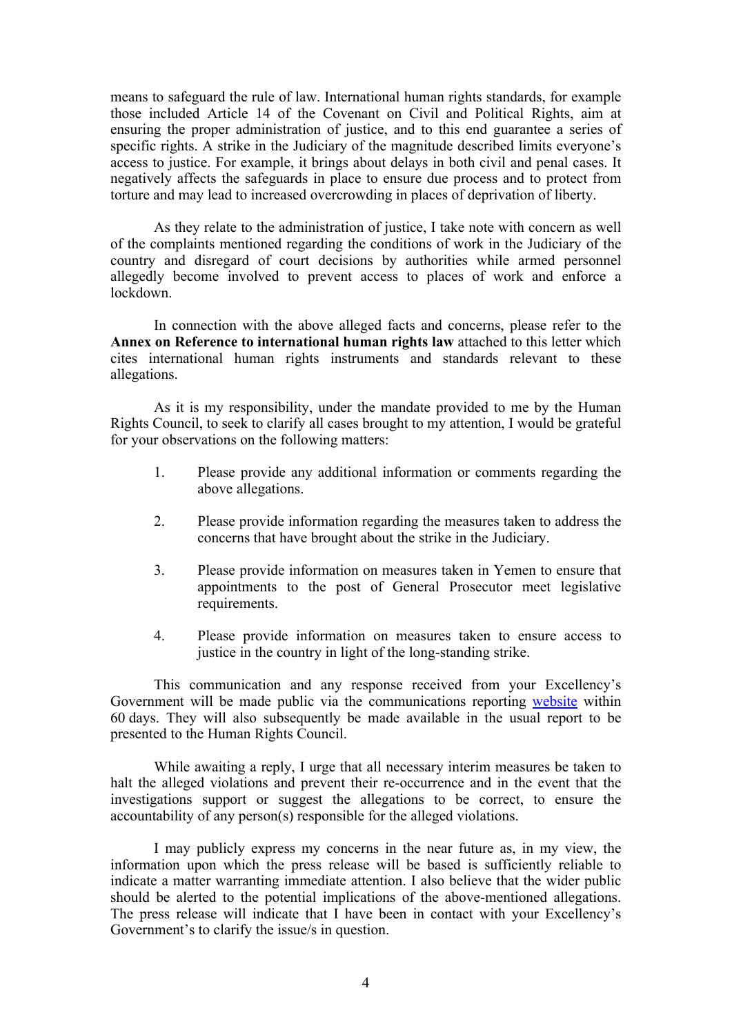means to safeguard the rule of law. International human rights standards, for example those included Article 14 of the Covenant on Civil and Political Rights, aim at ensuring the proper administration of justice, and to this end guarantee <sup>a</sup> series of specific rights. A strike in the Judiciary of the magnitude described limits everyone'<sup>s</sup> access to justice. For example, it brings about delays in both civil and penal cases. It negatively affects the safeguards in place to ensure due process and to protect from torture and may lead to increased overcrowding in places of deprivation of liberty.

As they relate to the administration of justice, I take note with concern as well of the complaints mentioned regarding the conditions of work in the Judiciary of the country and disregard of court decisions by authorities while armed personnel allegedly become involved to preven<sup>t</sup> access to places of work and enforce <sup>a</sup> lockdown.

In connection with the above alleged facts and concerns, please refer to the **Annex on Reference to international human rights law** attached to this letter which cites international human rights instruments and standards relevant to these allegations.

As it is my responsibility, under the mandate provided to me by the Human Rights Council, to seek to clarify all cases brought to my attention, I would be grateful for your observations on the following matters:

- 1. Please provide any additional information or comments regarding the above allegations.
- 2. Please provide information regarding the measures taken to address the concerns that have brought about the strike in the Judiciary.
- 3. Please provide information on measures taken in Yemen to ensure that appointments to the pos<sup>t</sup> of General Prosecutor meet legislative requirements.
- 4. Please provide information on measures taken to ensure access to justice in the country in light of the long-standing strike.

This communication and any response received from your Excellency'<sup>s</sup> Government will be made public via the communications reporting [website](https://spcommreports.ohchr.org/) within 60 days. They will also subsequently be made available in the usual repor<sup>t</sup> to be presented to the Human Rights Council.

While awaiting <sup>a</sup> reply, I urge that all necessary interim measures be taken to halt the alleged violations and preven<sup>t</sup> their re-occurrence and in the event that the investigations suppor<sup>t</sup> or sugges<sup>t</sup> the allegations to be correct, to ensure the accountability of any person(s) responsible for the alleged violations.

I may publicly express my concerns in the near future as, in my view, the information upon which the press release will be based is sufficiently reliable to indicate <sup>a</sup> matter warranting immediate attention. I also believe that the wider public should be alerted to the potential implications of the above-mentioned allegations. The press release will indicate that I have been in contact with your Excellency'<sup>s</sup> Government'<sup>s</sup> to clarify the issue/s in question.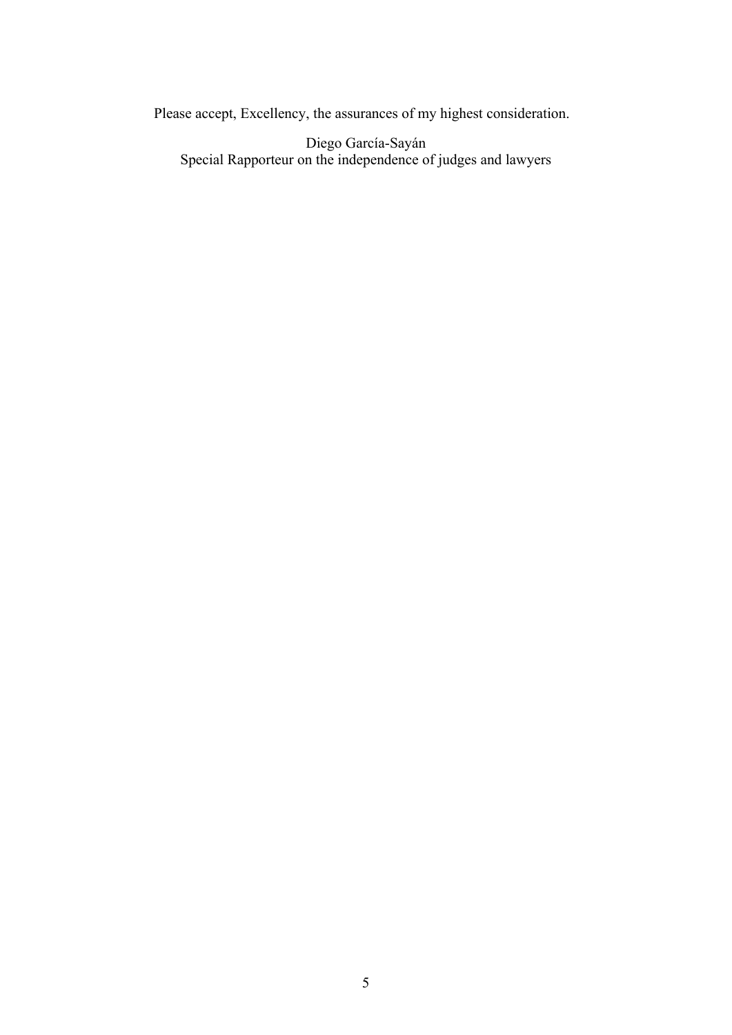Please accept, Excellency, the assurances of my highest consideration.

Diego García-Sayán Special Rapporteur on the independence of judges and lawyers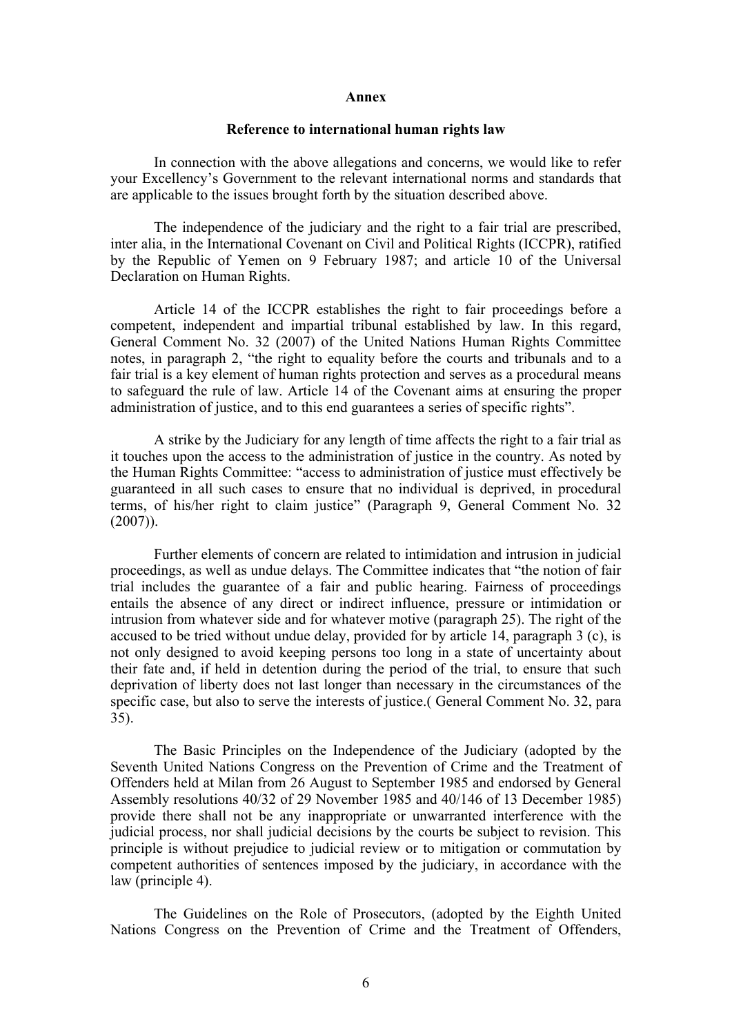#### **Annex**

# **Reference to international human rights law**

In connection with the above allegations and concerns, we would like to refer your Excellency'<sup>s</sup> Government to the relevant international norms and standards that are applicable to the issues brought forth by the situation described above.

The independence of the judiciary and the right to <sup>a</sup> fair trial are prescribed, inter alia, in the International Covenant on Civil and Political Rights (ICCPR), ratified by the Republic of Yemen on 9 February 1987; and article 10 of the Universal Declaration on Human Rights.

Article 14 of the ICCPR establishes the right to fair proceedings before <sup>a</sup> competent, independent and impartial tribunal established by law. In this regard, General Comment No. 32 (2007) of the United Nations Human Rights Committee notes, in paragraph 2, "the right to equality before the courts and tribunals and to <sup>a</sup> fair trial is <sup>a</sup> key element of human rights protection and serves as <sup>a</sup> procedural means to safeguard the rule of law. Article 14 of the Covenant aims at ensuring the proper administration of justice, and to this end guarantees <sup>a</sup> series of specific rights".

A strike by the Judiciary for any length of time affects the right to <sup>a</sup> fair trial as it touches upon the access to the administration of justice in the country. As noted by the Human Rights Committee: "access to administration of justice must effectively be guaranteed in all such cases to ensure that no individual is deprived, in procedural terms, of his/her right to claim justice" (Paragraph 9, General Comment No. 32  $(2007)$ ).

Further elements of concern are related to intimidation and intrusion in judicial proceedings, as well as undue delays. The Committee indicates that "the notion of fair trial includes the guarantee of <sup>a</sup> fair and public hearing. Fairness of proceedings entails the absence of any direct or indirect influence, pressure or intimidation or intrusion from whatever side and for whatever motive (paragraph 25). The right of the accused to be tried without undue delay, provided for by article 14, paragraph 3 (c), is not only designed to avoid keeping persons too long in <sup>a</sup> state of uncertainty about their fate and, if held in detention during the period of the trial, to ensure that such deprivation of liberty does not last longer than necessary in the circumstances of the specific case, but also to serve the interests of justice.( General Comment No. 32, para 35).

The Basic Principles on the Independence of the Judiciary (adopted by the Seventh United Nations Congress on the Prevention of Crime and the Treatment of Offenders held at Milan from 26 August to September 1985 and endorsed by General Assembly resolutions 40/32 of 29 November 1985 and 40/146 of 13 December 1985) provide there shall not be any inappropriate or unwarranted interference with the judicial process, nor shall judicial decisions by the courts be subject to revision. This principle is without prejudice to judicial review or to mitigation or commutation by competent authorities of sentences imposed by the judiciary, in accordance with the law (principle 4).

The Guidelines on the Role of Prosecutors, (adopted by the Eighth United Nations Congress on the Prevention of Crime and the Treatment of Offenders,